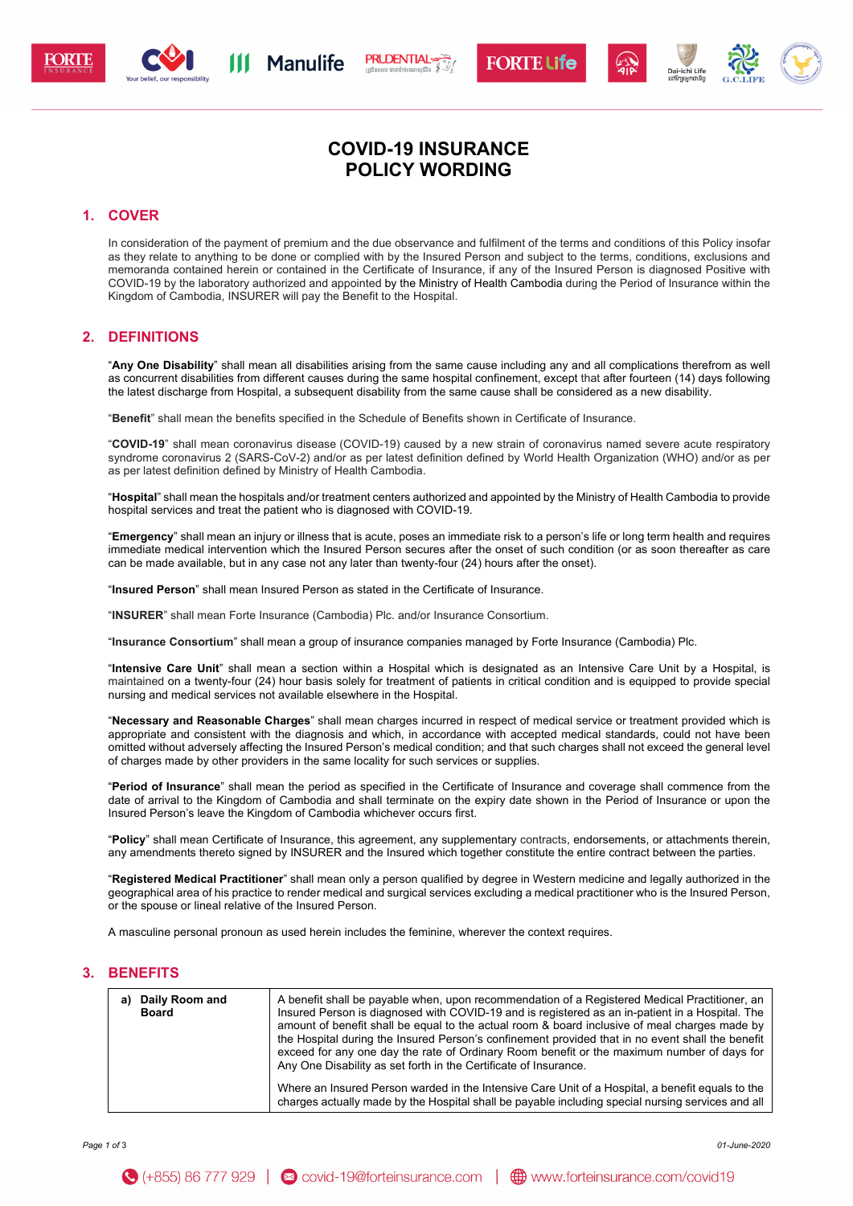

$$
\begin{array}{c}\n\hline\n\end{array}
$$
   

$$
\begin{array}{c}\n\hline\n\end{array}
$$
   
 
$$
\begin{array}{c}\n\hline\n\end{array}
$$



# **COVID-19 INSURANCE POLICY WORDING**

## **1. COVER**

In consideration of the payment of premium and the due observance and fulfilment of the terms and conditions of this Policy insofar as they relate to anything to be done or complied with by the Insured Person and subject to the terms, conditions, exclusions and memoranda contained herein or contained in the Certificate of Insurance, if any of the Insured Person is diagnosed Positive with COVID-19 by the laboratory authorized and appointed by the Ministry of Health Cambodia during the Period of Insurance within the Kingdom of Cambodia, INSURER will pay the Benefit to the Hospital.

## **2. DEFINITIONS**

"**Any One Disability**" shall mean all disabilities arising from the same cause including any and all complications therefrom as well as concurrent disabilities from different causes during the same hospital confinement, except that after fourteen (14) days following the latest discharge from Hospital, a subsequent disability from the same cause shall be considered as a new disability.

"**Benefit**" shall mean the benefits specified in the Schedule of Benefits shown in Certificate of Insurance.

"**COVID-19**" shall mean coronavirus disease (COVID-19) caused by a new strain of coronavirus named severe acute respiratory syndrome coronavirus 2 (SARS-CoV-2) and/or as per latest definition defined by World Health Organization (WHO) and/or as per as per latest definition defined by Ministry of Health Cambodia.

"**Hospital**" shall mean the hospitals and/or treatment centers authorized and appointed by the Ministry of Health Cambodia to provide hospital services and treat the patient who is diagnosed with COVID-19.

"**Emergency**" shall mean an injury or illness that is acute, poses an immediate risk to a person's life or long term health and requires immediate medical intervention which the Insured Person secures after the onset of such condition (or as soon thereafter as care can be made available, but in any case not any later than twenty-four (24) hours after the onset).

"**Insured Person**" shall mean Insured Person as stated in the Certificate of Insurance.

"**INSURER**" shall mean Forte Insurance (Cambodia) Plc. and/or Insurance Consortium.

"**Insurance Consortium**" shall mean a group of insurance companies managed by Forte Insurance (Cambodia) Plc.

"**Intensive Care Unit**" shall mean a section within a Hospital which is designated as an Intensive Care Unit by a Hospital, is maintained on a twenty-four (24) hour basis solely for treatment of patients in critical condition and is equipped to provide special nursing and medical services not available elsewhere in the Hospital.

"**Necessary and Reasonable Charges**" shall mean charges incurred in respect of medical service or treatment provided which is appropriate and consistent with the diagnosis and which, in accordance with accepted medical standards, could not have been omitted without adversely affecting the Insured Person's medical condition; and that such charges shall not exceed the general level of charges made by other providers in the same locality for such services or supplies.

"**Period of Insurance**" shall mean the period as specified in the Certificate of Insurance and coverage shall commence from the date of arrival to the Kingdom of Cambodia and shall terminate on the expiry date shown in the Period of Insurance or upon the Insured Person's leave the Kingdom of Cambodia whichever occurs first.

"**Policy**" shall mean Certificate of Insurance, this agreement, any supplementary contracts, endorsements, or attachments therein, any amendments thereto signed by INSURER and the Insured which together constitute the entire contract between the parties.

"**Registered Medical Practitioner**" shall mean only a person qualified by degree in Western medicine and legally authorized in the geographical area of his practice to render medical and surgical services excluding a medical practitioner who is the Insured Person, or the spouse or lineal relative of the Insured Person.

A masculine personal pronoun as used herein includes the feminine, wherever the context requires.

## **3. BENEFITS**

| Daily Room and<br>Board | A benefit shall be payable when, upon recommendation of a Registered Medical Practitioner, an<br>Insured Person is diagnosed with COVID-19 and is registered as an in-patient in a Hospital. The<br>amount of benefit shall be equal to the actual room & board inclusive of meal charges made by<br>the Hospital during the Insured Person's confinement provided that in no event shall the benefit<br>exceed for any one day the rate of Ordinary Room benefit or the maximum number of days for<br>Any One Disability as set forth in the Certificate of Insurance. |
|-------------------------|-------------------------------------------------------------------------------------------------------------------------------------------------------------------------------------------------------------------------------------------------------------------------------------------------------------------------------------------------------------------------------------------------------------------------------------------------------------------------------------------------------------------------------------------------------------------------|
|                         | Where an Insured Person warded in the Intensive Care Unit of a Hospital, a benefit equals to the<br>charges actually made by the Hospital shall be payable including special nursing services and all                                                                                                                                                                                                                                                                                                                                                                   |

*Page 1 of* 3 *01-June-2020*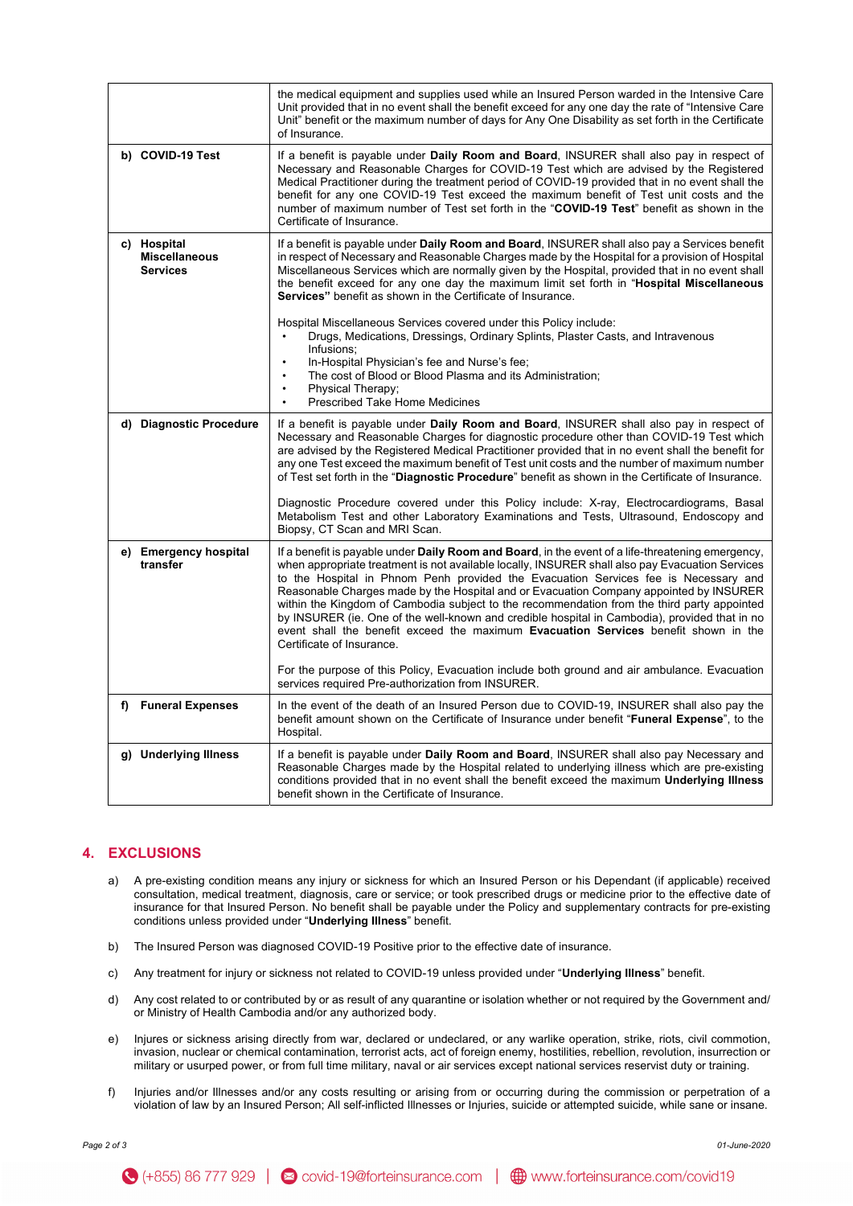|                                                        | the medical equipment and supplies used while an Insured Person warded in the Intensive Care<br>Unit provided that in no event shall the benefit exceed for any one day the rate of "Intensive Care<br>Unit" benefit or the maximum number of days for Any One Disability as set forth in the Certificate<br>of Insurance.                                                                                                                                                                                                                                                                                                                                                                                        |
|--------------------------------------------------------|-------------------------------------------------------------------------------------------------------------------------------------------------------------------------------------------------------------------------------------------------------------------------------------------------------------------------------------------------------------------------------------------------------------------------------------------------------------------------------------------------------------------------------------------------------------------------------------------------------------------------------------------------------------------------------------------------------------------|
| b) COVID-19 Test                                       | If a benefit is payable under Daily Room and Board, INSURER shall also pay in respect of<br>Necessary and Reasonable Charges for COVID-19 Test which are advised by the Registered<br>Medical Practitioner during the treatment period of COVID-19 provided that in no event shall the<br>benefit for any one COVID-19 Test exceed the maximum benefit of Test unit costs and the<br>number of maximum number of Test set forth in the "COVID-19 Test" benefit as shown in the<br>Certificate of Insurance.                                                                                                                                                                                                       |
| c) Hospital<br><b>Miscellaneous</b><br><b>Services</b> | If a benefit is payable under Daily Room and Board, INSURER shall also pay a Services benefit<br>in respect of Necessary and Reasonable Charges made by the Hospital for a provision of Hospital<br>Miscellaneous Services which are normally given by the Hospital, provided that in no event shall<br>the benefit exceed for any one day the maximum limit set forth in "Hospital Miscellaneous"<br>Services" benefit as shown in the Certificate of Insurance.                                                                                                                                                                                                                                                 |
|                                                        | Hospital Miscellaneous Services covered under this Policy include:<br>Drugs, Medications, Dressings, Ordinary Splints, Plaster Casts, and Intravenous<br>Infusions;<br>In-Hospital Physician's fee and Nurse's fee;<br>The cost of Blood or Blood Plasma and its Administration;<br>$\bullet$<br>Physical Therapy:<br><b>Prescribed Take Home Medicines</b><br>$\bullet$                                                                                                                                                                                                                                                                                                                                          |
| d) Diagnostic Procedure                                | If a benefit is payable under Daily Room and Board, INSURER shall also pay in respect of<br>Necessary and Reasonable Charges for diagnostic procedure other than COVID-19 Test which<br>are advised by the Registered Medical Practitioner provided that in no event shall the benefit for<br>any one Test exceed the maximum benefit of Test unit costs and the number of maximum number<br>of Test set forth in the "Diagnostic Procedure" benefit as shown in the Certificate of Insurance.                                                                                                                                                                                                                    |
|                                                        | Diagnostic Procedure covered under this Policy include: X-ray, Electrocardiograms, Basal<br>Metabolism Test and other Laboratory Examinations and Tests, Ultrasound, Endoscopy and<br>Biopsy, CT Scan and MRI Scan.                                                                                                                                                                                                                                                                                                                                                                                                                                                                                               |
| e) Emergency hospital<br>transfer                      | If a benefit is payable under <b>Daily Room and Board</b> , in the event of a life-threatening emergency,<br>when appropriate treatment is not available locally, INSURER shall also pay Evacuation Services<br>to the Hospital in Phnom Penh provided the Evacuation Services fee is Necessary and<br>Reasonable Charges made by the Hospital and or Evacuation Company appointed by INSURER<br>within the Kingdom of Cambodia subject to the recommendation from the third party appointed<br>by INSURER (ie. One of the well-known and credible hospital in Cambodia), provided that in no<br>event shall the benefit exceed the maximum Evacuation Services benefit shown in the<br>Certificate of Insurance. |
|                                                        | For the purpose of this Policy, Evacuation include both ground and air ambulance. Evacuation<br>services required Pre-authorization from INSURER.                                                                                                                                                                                                                                                                                                                                                                                                                                                                                                                                                                 |
| f) Funeral Expenses                                    | In the event of the death of an Insured Person due to COVID-19, INSURER shall also pay the<br>benefit amount shown on the Certificate of Insurance under benefit "Funeral Expense", to the<br>Hospital.                                                                                                                                                                                                                                                                                                                                                                                                                                                                                                           |
| g) Underlying Illness                                  | If a benefit is payable under Daily Room and Board, INSURER shall also pay Necessary and<br>Reasonable Charges made by the Hospital related to underlying illness which are pre-existing<br>conditions provided that in no event shall the benefit exceed the maximum Underlying Illness<br>benefit shown in the Certificate of Insurance.                                                                                                                                                                                                                                                                                                                                                                        |

## **4. EXCLUSIONS**

- a) A pre-existing condition means any injury or sickness for which an Insured Person or his Dependant (if applicable) received consultation, medical treatment, diagnosis, care or service; or took prescribed drugs or medicine prior to the effective date of insurance for that Insured Person. No benefit shall be payable under the Policy and supplementary contracts for pre-existing conditions unless provided under "**Underlying Illness**" benefit.
- b) The Insured Person was diagnosed COVID-19 Positive prior to the effective date of insurance.
- c) Any treatment for injury or sickness not related to COVID-19 unless provided under "**Underlying Illness**" benefit.
- d) Any cost related to or contributed by or as result of any quarantine or isolation whether or not required by the Government and/ or Ministry of Health Cambodia and/or any authorized body.
- e) Injures or sickness arising directly from war, declared or undeclared, or any warlike operation, strike, riots, civil commotion, invasion, nuclear or chemical contamination, terrorist acts, act of foreign enemy, hostilities, rebellion, revolution, insurrection or military or usurped power, or from full time military, naval or air services except national services reservist duty or training.
- f) Injuries and/or Illnesses and/or any costs resulting or arising from or occurring during the commission or perpetration of a violation of law by an Insured Person; All self-inflicted Illnesses or Injuries, suicide or attempted suicide, while sane or insane.